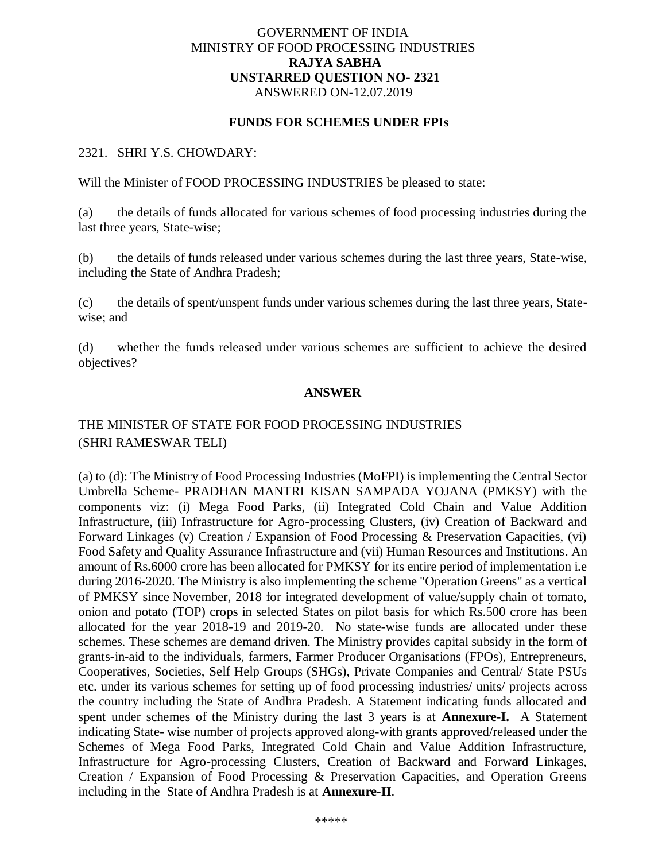### GOVERNMENT OF INDIA MINISTRY OF FOOD PROCESSING INDUSTRIES **RAJYA SABHA UNSTARRED QUESTION NO- 2321** ANSWERED ON-12.07.2019

### **FUNDS FOR SCHEMES UNDER FPIs**

#### 2321. SHRI Y.S. CHOWDARY:

Will the Minister of FOOD PROCESSING INDUSTRIES be pleased to state:

(a) the details of funds allocated for various schemes of food processing industries during the last three years, State-wise;

(b) the details of funds released under various schemes during the last three years, State-wise, including the State of Andhra Pradesh;

(c) the details of spent/unspent funds under various schemes during the last three years, Statewise; and

(d) whether the funds released under various schemes are sufficient to achieve the desired objectives?

### **ANSWER**

## THE MINISTER OF STATE FOR FOOD PROCESSING INDUSTRIES (SHRI RAMESWAR TELI)

(a) to (d): The Ministry of Food Processing Industries (MoFPI) is implementing the Central Sector Umbrella Scheme- PRADHAN MANTRI KISAN SAMPADA YOJANA (PMKSY) with the components viz: (i) Mega Food Parks, (ii) Integrated Cold Chain and Value Addition Infrastructure, (iii) Infrastructure for Agro-processing Clusters, (iv) Creation of Backward and Forward Linkages (v) Creation / Expansion of Food Processing & Preservation Capacities, (vi) Food Safety and Quality Assurance Infrastructure and (vii) Human Resources and Institutions. An amount of Rs.6000 crore has been allocated for PMKSY for its entire period of implementation i.e during 2016-2020. The Ministry is also implementing the scheme "Operation Greens" as a vertical of PMKSY since November, 2018 for integrated development of value/supply chain of tomato, onion and potato (TOP) crops in selected States on pilot basis for which Rs.500 crore has been allocated for the year 2018-19 and 2019-20. No state-wise funds are allocated under these schemes. These schemes are demand driven. The Ministry provides capital subsidy in the form of grants-in-aid to the individuals, farmers, Farmer Producer Organisations (FPOs), Entrepreneurs, Cooperatives, Societies, Self Help Groups (SHGs), Private Companies and Central/ State PSUs etc. under its various schemes for setting up of food processing industries/ units/ projects across the country including the State of Andhra Pradesh. A Statement indicating funds allocated and spent under schemes of the Ministry during the last 3 years is at **Annexure-I.** A Statement indicating State- wise number of projects approved along-with grants approved/released under the Schemes of Mega Food Parks, Integrated Cold Chain and Value Addition Infrastructure, Infrastructure for Agro-processing Clusters, Creation of Backward and Forward Linkages, Creation / Expansion of Food Processing & Preservation Capacities, and Operation Greens including in the State of Andhra Pradesh is at **Annexure-II**.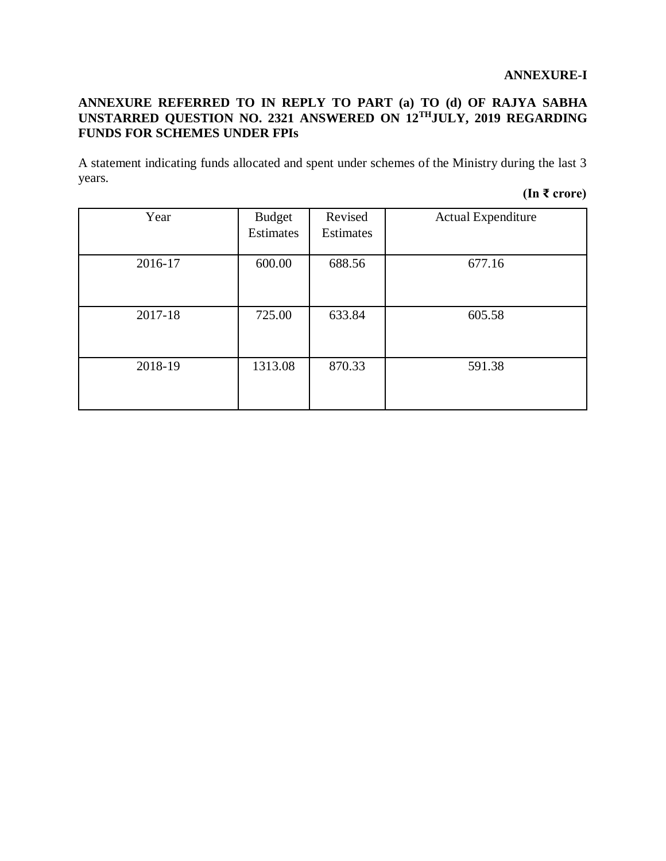## **ANNEXURE REFERRED TO IN REPLY TO PART (a) TO (d) OF RAJYA SABHA UNSTARRED QUESTION NO. 2321 ANSWERED ON 12THJULY, 2019 REGARDING FUNDS FOR SCHEMES UNDER FPIs**

A statement indicating funds allocated and spent under schemes of the Ministry during the last 3 years.

# **(In ₹ crore)**

| Year    | <b>Budget</b><br>Estimates | Revised<br><b>Estimates</b> | <b>Actual Expenditure</b> |  |
|---------|----------------------------|-----------------------------|---------------------------|--|
| 2016-17 | 600.00                     | 688.56                      | 677.16                    |  |
| 2017-18 | 725.00                     | 633.84                      | 605.58                    |  |
| 2018-19 | 1313.08                    | 870.33                      | 591.38                    |  |